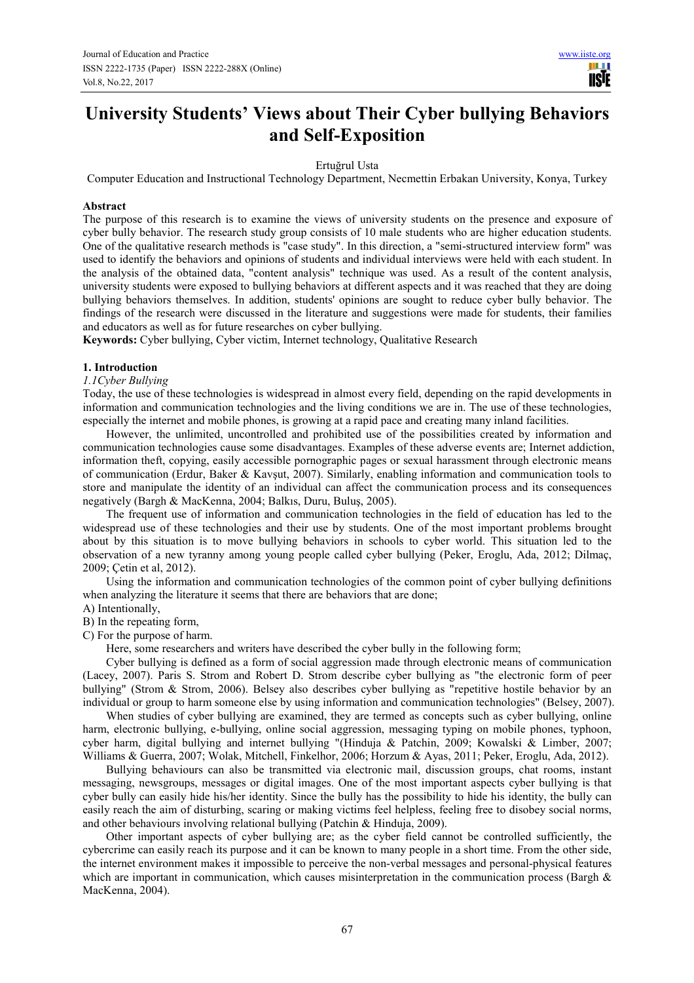# **University Students' Views about Their Cyber bullying Behaviors and Self-Exposition**

Ertuğrul Usta

Computer Education and Instructional Technology Department, Necmettin Erbakan University, Konya, Turkey

## **Abstract**

The purpose of this research is to examine the views of university students on the presence and exposure of cyber bully behavior. The research study group consists of 10 male students who are higher education students. One of the qualitative research methods is "case study". In this direction, a "semi-structured interview form" was used to identify the behaviors and opinions of students and individual interviews were held with each student. In the analysis of the obtained data, "content analysis" technique was used. As a result of the content analysis, university students were exposed to bullying behaviors at different aspects and it was reached that they are doing bullying behaviors themselves. In addition, students' opinions are sought to reduce cyber bully behavior. The findings of the research were discussed in the literature and suggestions were made for students, their families and educators as well as for future researches on cyber bullying.

**Keywords:** Cyber bullying, Cyber victim, Internet technology, Qualitative Research

## **1. Introduction**

## *1.1Cyber Bullying*

Today, the use of these technologies is widespread in almost every field, depending on the rapid developments in information and communication technologies and the living conditions we are in. The use of these technologies, especially the internet and mobile phones, is growing at a rapid pace and creating many inland facilities.

However, the unlimited, uncontrolled and prohibited use of the possibilities created by information and communication technologies cause some disadvantages. Examples of these adverse events are; Internet addiction, information theft, copying, easily accessible pornographic pages or sexual harassment through electronic means of communication (Erdur, Baker & Kavşut, 2007). Similarly, enabling information and communication tools to store and manipulate the identity of an individual can affect the communication process and its consequences negatively (Bargh & MacKenna, 2004; Balkıs, Duru, Buluş, 2005).

The frequent use of information and communication technologies in the field of education has led to the widespread use of these technologies and their use by students. One of the most important problems brought about by this situation is to move bullying behaviors in schools to cyber world. This situation led to the observation of a new tyranny among young people called cyber bullying (Peker, Eroglu, Ada, 2012; Dilmaç, 2009; Çetin et al, 2012).

Using the information and communication technologies of the common point of cyber bullying definitions when analyzing the literature it seems that there are behaviors that are done;

## A) Intentionally,

B) In the repeating form,

C) For the purpose of harm.

Here, some researchers and writers have described the cyber bully in the following form;

Cyber bullying is defined as a form of social aggression made through electronic means of communication (Lacey, 2007). Paris S. Strom and Robert D. Strom describe cyber bullying as "the electronic form of peer bullying" (Strom & Strom, 2006). Belsey also describes cyber bullying as "repetitive hostile behavior by an individual or group to harm someone else by using information and communication technologies" (Belsey, 2007).

When studies of cyber bullying are examined, they are termed as concepts such as cyber bullying, online harm, electronic bullying, e-bullying, online social aggression, messaging typing on mobile phones, typhoon, cyber harm, digital bullying and internet bullying "(Hinduja & Patchin, 2009; Kowalski & Limber, 2007; Williams & Guerra, 2007; Wolak, Mitchell, Finkelhor, 2006; Horzum & Ayas, 2011; Peker, Eroglu, Ada, 2012).

Bullying behaviours can also be transmitted via electronic mail, discussion groups, chat rooms, instant messaging, newsgroups, messages or digital images. One of the most important aspects cyber bullying is that cyber bully can easily hide his/her identity. Since the bully has the possibility to hide his identity, the bully can easily reach the aim of disturbing, scaring or making victims feel helpless, feeling free to disobey social norms, and other behaviours involving relational bullying (Patchin & Hinduja, 2009).

Other important aspects of cyber bullying are; as the cyber field cannot be controlled sufficiently, the cybercrime can easily reach its purpose and it can be known to many people in a short time. From the other side, the internet environment makes it impossible to perceive the non-verbal messages and personal-physical features which are important in communication, which causes misinterpretation in the communication process (Bargh & MacKenna, 2004).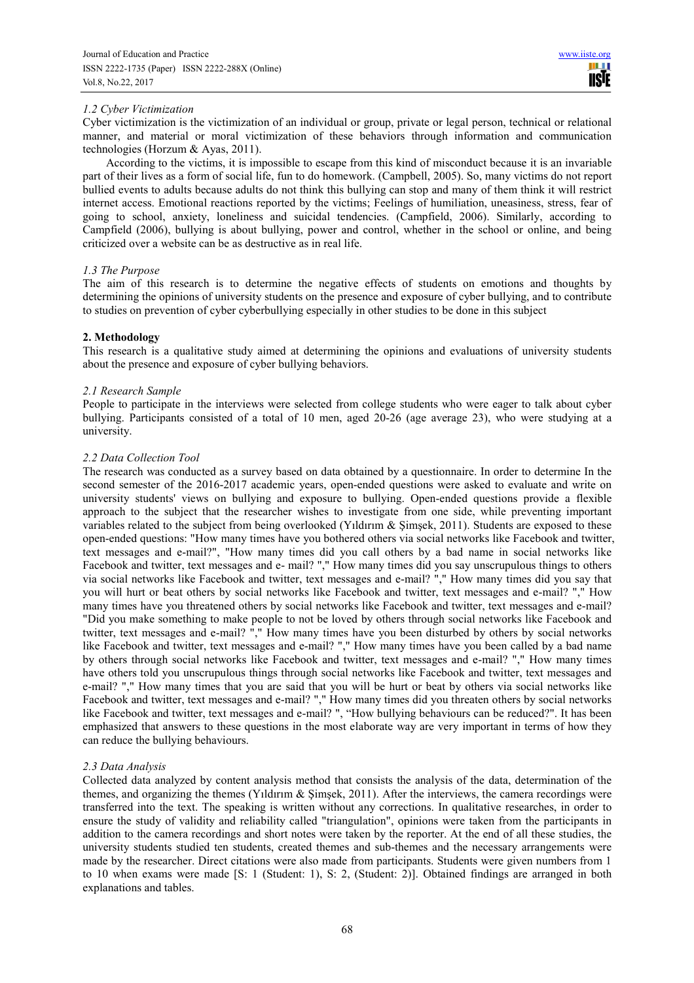# *1.2 Cyber Victimization*

Cyber victimization is the victimization of an individual or group, private or legal person, technical or relational manner, and material or moral victimization of these behaviors through information and communication technologies (Horzum & Ayas, 2011).

According to the victims, it is impossible to escape from this kind of misconduct because it is an invariable part of their lives as a form of social life, fun to do homework. (Campbell, 2005). So, many victims do not report bullied events to adults because adults do not think this bullying can stop and many of them think it will restrict internet access. Emotional reactions reported by the victims; Feelings of humiliation, uneasiness, stress, fear of going to school, anxiety, loneliness and suicidal tendencies. (Campfield, 2006). Similarly, according to Campfield (2006), bullying is about bullying, power and control, whether in the school or online, and being criticized over a website can be as destructive as in real life.

# *1.3 The Purpose*

The aim of this research is to determine the negative effects of students on emotions and thoughts by determining the opinions of university students on the presence and exposure of cyber bullying, and to contribute to studies on prevention of cyber cyberbullying especially in other studies to be done in this subject

# **2. Methodology**

This research is a qualitative study aimed at determining the opinions and evaluations of university students about the presence and exposure of cyber bullying behaviors.

# *2.1 Research Sample*

People to participate in the interviews were selected from college students who were eager to talk about cyber bullying. Participants consisted of a total of 10 men, aged 20-26 (age average 23), who were studying at a university.

# *2.2 Data Collection Tool*

The research was conducted as a survey based on data obtained by a questionnaire. In order to determine In the second semester of the 2016-2017 academic years, open-ended questions were asked to evaluate and write on university students' views on bullying and exposure to bullying. Open-ended questions provide a flexible approach to the subject that the researcher wishes to investigate from one side, while preventing important variables related to the subject from being overlooked (Yıldırım & Şimşek, 2011). Students are exposed to these open-ended questions: "How many times have you bothered others via social networks like Facebook and twitter, text messages and e-mail?", "How many times did you call others by a bad name in social networks like Facebook and twitter, text messages and e- mail? "," How many times did you say unscrupulous things to others via social networks like Facebook and twitter, text messages and e-mail? "," How many times did you say that you will hurt or beat others by social networks like Facebook and twitter, text messages and e-mail? "," How many times have you threatened others by social networks like Facebook and twitter, text messages and e-mail? "Did you make something to make people to not be loved by others through social networks like Facebook and twitter, text messages and e-mail? "," How many times have you been disturbed by others by social networks like Facebook and twitter, text messages and e-mail? "," How many times have you been called by a bad name by others through social networks like Facebook and twitter, text messages and e-mail? "," How many times have others told you unscrupulous things through social networks like Facebook and twitter, text messages and e-mail? "," How many times that you are said that you will be hurt or beat by others via social networks like Facebook and twitter, text messages and e-mail? "," How many times did you threaten others by social networks like Facebook and twitter, text messages and e-mail? ", "How bullying behaviours can be reduced?". It has been emphasized that answers to these questions in the most elaborate way are very important in terms of how they can reduce the bullying behaviours.

# *2.3 Data Analysis*

Collected data analyzed by content analysis method that consists the analysis of the data, determination of the themes, and organizing the themes (Yıldırım & Şimşek, 2011). After the interviews, the camera recordings were transferred into the text. The speaking is written without any corrections. In qualitative researches, in order to ensure the study of validity and reliability called "triangulation", opinions were taken from the participants in addition to the camera recordings and short notes were taken by the reporter. At the end of all these studies, the university students studied ten students, created themes and sub-themes and the necessary arrangements were made by the researcher. Direct citations were also made from participants. Students were given numbers from 1 to 10 when exams were made [S: 1 (Student: 1), S: 2, (Student: 2)]. Obtained findings are arranged in both explanations and tables.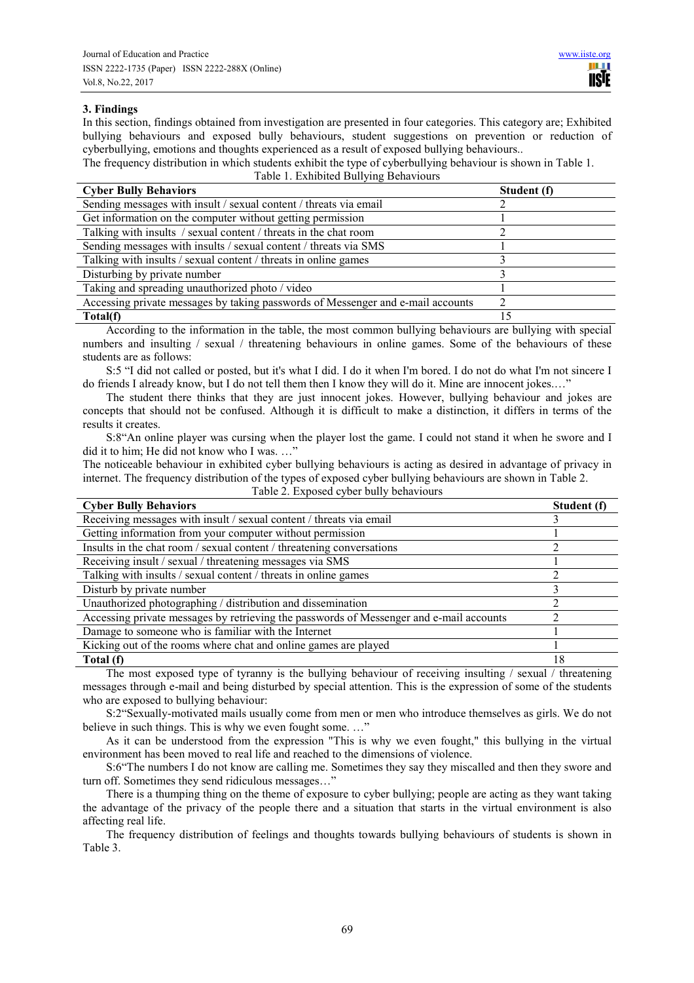# **3. Findings**

In this section, findings obtained from investigation are presented in four categories. This category are; Exhibited bullying behaviours and exposed bully behaviours, student suggestions on prevention or reduction of cyberbullying, emotions and thoughts experienced as a result of exposed bullying behaviours..

The frequency distribution in which students exhibit the type of cyberbullying behaviour is shown in Table 1.

Table 1. Exhibited Bullying Behaviours

| <b>Cyber Bully Behaviors</b>                                                    | Student (f) |
|---------------------------------------------------------------------------------|-------------|
| Sending messages with insult / sexual content / threats via email               |             |
| Get information on the computer without getting permission                      |             |
| Talking with insults / sexual content / threats in the chat room                |             |
| Sending messages with insults / sexual content / threats via SMS                |             |
| Talking with insults / sexual content / threats in online games                 |             |
| Disturbing by private number                                                    |             |
| Taking and spreading unauthorized photo / video                                 |             |
| Accessing private messages by taking passwords of Messenger and e-mail accounts |             |
| Total(f)                                                                        |             |

According to the information in the table, the most common bullying behaviours are bullying with special numbers and insulting / sexual / threatening behaviours in online games. Some of the behaviours of these students are as follows:

S:5 "I did not called or posted, but it's what I did. I do it when I'm bored. I do not do what I'm not sincere I do friends I already know, but I do not tell them then I know they will do it. Mine are innocent jokes.…"

The student there thinks that they are just innocent jokes. However, bullying behaviour and jokes are concepts that should not be confused. Although it is difficult to make a distinction, it differs in terms of the results it creates.

S:8"An online player was cursing when the player lost the game. I could not stand it when he swore and I did it to him; He did not know who I was. ..."

The noticeable behaviour in exhibited cyber bullying behaviours is acting as desired in advantage of privacy in internet. The frequency distribution of the types of exposed cyber bullying behaviours are shown in Table 2. Table 2. Exposed cyber bully behaviours

| <b>Cyber Bully Behaviors</b>                                                            | Student (f) |
|-----------------------------------------------------------------------------------------|-------------|
| Receiving messages with insult / sexual content / threats via email                     |             |
| Getting information from your computer without permission                               |             |
| Insults in the chat room / sexual content / threatening conversations                   |             |
| Receiving insult / sexual / threatening messages via SMS                                |             |
| Talking with insults / sexual content / threats in online games                         |             |
| Disturb by private number                                                               |             |
| Unauthorized photographing / distribution and dissemination                             |             |
| Accessing private messages by retrieving the passwords of Messenger and e-mail accounts |             |
| Damage to someone who is familiar with the Internet                                     |             |
| Kicking out of the rooms where chat and online games are played                         |             |
| Total (f)                                                                               | 18          |

The most exposed type of tyranny is the bullying behaviour of receiving insulting / sexual / threatening messages through e-mail and being disturbed by special attention. This is the expression of some of the students who are exposed to bullying behaviour:

S:2"Sexually-motivated mails usually come from men or men who introduce themselves as girls. We do not believe in such things. This is why we even fought some...."

As it can be understood from the expression "This is why we even fought," this bullying in the virtual environment has been moved to real life and reached to the dimensions of violence.

S:6"The numbers I do not know are calling me. Sometimes they say they miscalled and then they swore and turn off. Sometimes they send ridiculous messages…"

There is a thumping thing on the theme of exposure to cyber bullying; people are acting as they want taking the advantage of the privacy of the people there and a situation that starts in the virtual environment is also affecting real life.

The frequency distribution of feelings and thoughts towards bullying behaviours of students is shown in Table 3.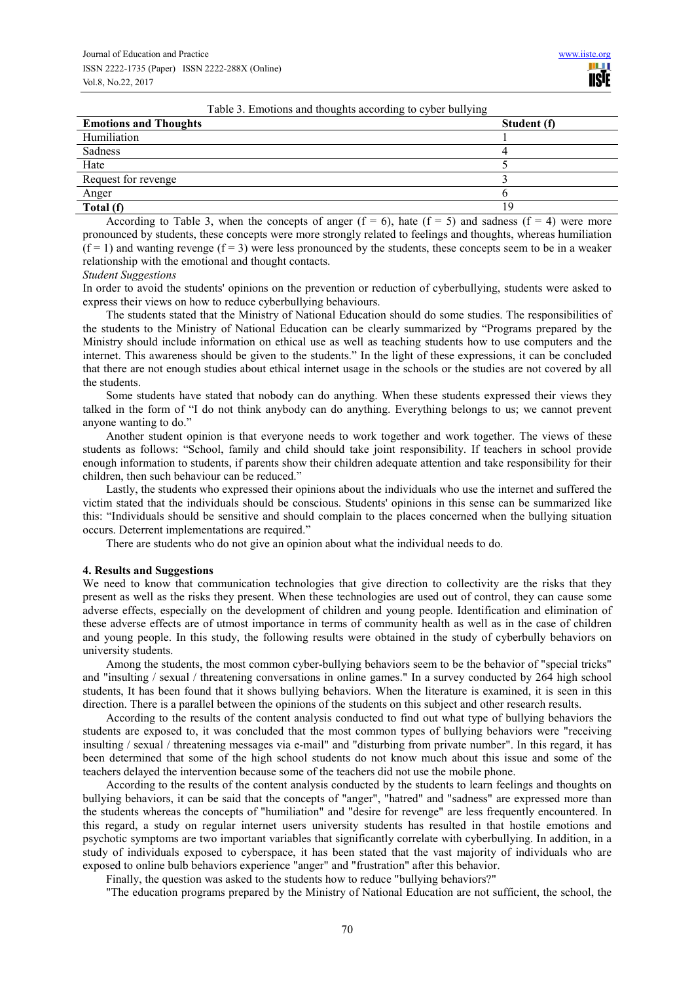|  |  |  | Table 3. Emotions and thoughts according to cyber bullying |
|--|--|--|------------------------------------------------------------|
|  |  |  |                                                            |

| <b>Emotions and Thoughts</b> | ັ<br>Student (f) |
|------------------------------|------------------|
| Humiliation                  |                  |
| Sadness                      |                  |
| Hate                         |                  |
| Request for revenge          |                  |
| Anger                        |                  |
| Total (f)                    |                  |

According to Table 3, when the concepts of anger  $(f = 6)$ , hate  $(f = 5)$  and sadness  $(f = 4)$  were more pronounced by students, these concepts were more strongly related to feelings and thoughts, whereas humiliation  $(f = 1)$  and wanting revenge  $(f = 3)$  were less pronounced by the students, these concepts seem to be in a weaker relationship with the emotional and thought contacts.

*Student Suggestions* 

In order to avoid the students' opinions on the prevention or reduction of cyberbullying, students were asked to express their views on how to reduce cyberbullying behaviours.

The students stated that the Ministry of National Education should do some studies. The responsibilities of the students to the Ministry of National Education can be clearly summarized by "Programs prepared by the Ministry should include information on ethical use as well as teaching students how to use computers and the internet. This awareness should be given to the students." In the light of these expressions, it can be concluded that there are not enough studies about ethical internet usage in the schools or the studies are not covered by all the students.

Some students have stated that nobody can do anything. When these students expressed their views they talked in the form of "I do not think anybody can do anything. Everything belongs to us; we cannot prevent anyone wanting to do."

Another student opinion is that everyone needs to work together and work together. The views of these students as follows: "School, family and child should take joint responsibility. If teachers in school provide enough information to students, if parents show their children adequate attention and take responsibility for their children, then such behaviour can be reduced."

Lastly, the students who expressed their opinions about the individuals who use the internet and suffered the victim stated that the individuals should be conscious. Students' opinions in this sense can be summarized like this: "Individuals should be sensitive and should complain to the places concerned when the bullying situation occurs. Deterrent implementations are required."

There are students who do not give an opinion about what the individual needs to do.

#### **4. Results and Suggestions**

We need to know that communication technologies that give direction to collectivity are the risks that they present as well as the risks they present. When these technologies are used out of control, they can cause some adverse effects, especially on the development of children and young people. Identification and elimination of these adverse effects are of utmost importance in terms of community health as well as in the case of children and young people. In this study, the following results were obtained in the study of cyberbully behaviors on university students.

Among the students, the most common cyber-bullying behaviors seem to be the behavior of "special tricks" and "insulting / sexual / threatening conversations in online games." In a survey conducted by 264 high school students, It has been found that it shows bullying behaviors. When the literature is examined, it is seen in this direction. There is a parallel between the opinions of the students on this subject and other research results.

According to the results of the content analysis conducted to find out what type of bullying behaviors the students are exposed to, it was concluded that the most common types of bullying behaviors were "receiving insulting / sexual / threatening messages via e-mail" and "disturbing from private number". In this regard, it has been determined that some of the high school students do not know much about this issue and some of the teachers delayed the intervention because some of the teachers did not use the mobile phone.

According to the results of the content analysis conducted by the students to learn feelings and thoughts on bullying behaviors, it can be said that the concepts of "anger", "hatred" and "sadness" are expressed more than the students whereas the concepts of "humiliation" and "desire for revenge" are less frequently encountered. In this regard, a study on regular internet users university students has resulted in that hostile emotions and psychotic symptoms are two important variables that significantly correlate with cyberbullying. In addition, in a study of individuals exposed to cyberspace, it has been stated that the vast majority of individuals who are exposed to online bulb behaviors experience "anger" and "frustration" after this behavior.

Finally, the question was asked to the students how to reduce "bullying behaviors?"

"The education programs prepared by the Ministry of National Education are not sufficient, the school, the